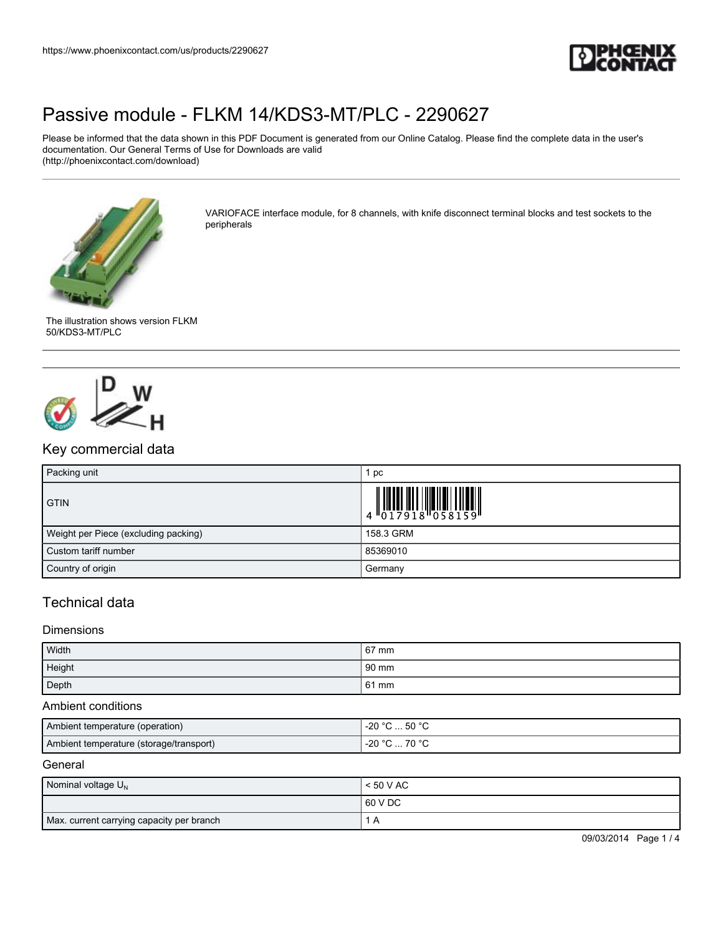

Please be informed that the data shown in this PDF Document is generated from our Online Catalog. Please find the complete data in the user's documentation. Our General Terms of Use for Downloads are valid (http://phoenixcontact.com/download)



VARIOFACE interface module, for 8 channels, with knife disconnect terminal blocks and test sockets to the peripherals





# Key commercial data

| Packing unit                         | рc                                                                                                        |
|--------------------------------------|-----------------------------------------------------------------------------------------------------------|
| <b>GTIN</b>                          | $\begin{array}{c} 0 & 0 & 0 & 0 \\ 0 & 0 & 1 & 7 & 9 & 1 & 8 \\ 0 & 0 & 1 & 7 & 9 & 1 & 8 \\ \end{array}$ |
| Weight per Piece (excluding packing) | 158.3 GRM                                                                                                 |
| Custom tariff number                 | 85369010                                                                                                  |
| Country of origin                    | Germany                                                                                                   |

## Technical data

### Dimensions

| Width  | 67 mm |
|--------|-------|
| Height | 90 mm |
| Depth  | 61 mm |

#### Ambient conditions

| Ambient temperature (operation)         | °C  50 °C<br>-20 °C  |
|-----------------------------------------|----------------------|
| Ambient temperature (storage/transport) | 70 °C<br>-20 °C<br>. |

#### **General**

| Nominal voltage $U_N$                     | < 50 V AC |
|-------------------------------------------|-----------|
|                                           | 60 V DC   |
| Max. current carrying capacity per branch |           |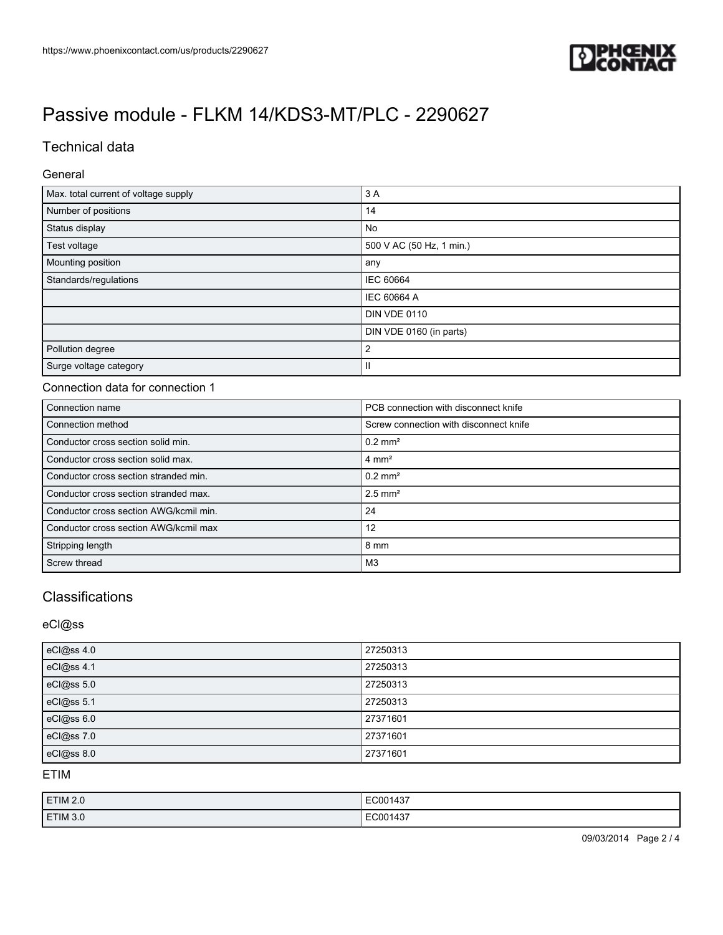

## Technical data

### General

| Max. total current of voltage supply | 3A                       |
|--------------------------------------|--------------------------|
| Number of positions                  | 14                       |
| Status display                       | No                       |
| Test voltage                         | 500 V AC (50 Hz, 1 min.) |
| Mounting position                    | any                      |
| Standards/regulations                | IEC 60664                |
|                                      | <b>IEC 60664 A</b>       |
|                                      | <b>DIN VDE 0110</b>      |
|                                      | DIN VDE 0160 (in parts)  |
| Pollution degree                     | $\overline{2}$           |
| Surge voltage category               | Ш                        |

## Connection data for connection 1

| Connection name                        | PCB connection with disconnect knife   |
|----------------------------------------|----------------------------------------|
| Connection method                      | Screw connection with disconnect knife |
| Conductor cross section solid min.     | $0.2$ mm <sup>2</sup>                  |
| Conductor cross section solid max.     | $4 \text{ mm}^2$                       |
| Conductor cross section stranded min.  | $0.2$ mm <sup>2</sup>                  |
| Conductor cross section stranded max.  | $2.5$ mm <sup>2</sup>                  |
| Conductor cross section AWG/kcmil min. | 24                                     |
| Conductor cross section AWG/kcmil max  | 12                                     |
| Stripping length                       | 8 mm                                   |
| Screw thread                           | M <sub>3</sub>                         |

# **Classifications**

eCl@ss

| eCl@ss 4.0 | 27250313 |
|------------|----------|
| eCl@ss 4.1 | 27250313 |
| eCl@ss 5.0 | 27250313 |
| eCl@ss 5.1 | 27250313 |
| eCl@ss 6.0 | 27371601 |
| eCl@ss 7.0 | 27371601 |
| eCl@ss 8.0 | 27371601 |

ETIM

| <b>ETIM 2.0</b> | EC001437 |
|-----------------|----------|
| ETIM 3.0        | EC001437 |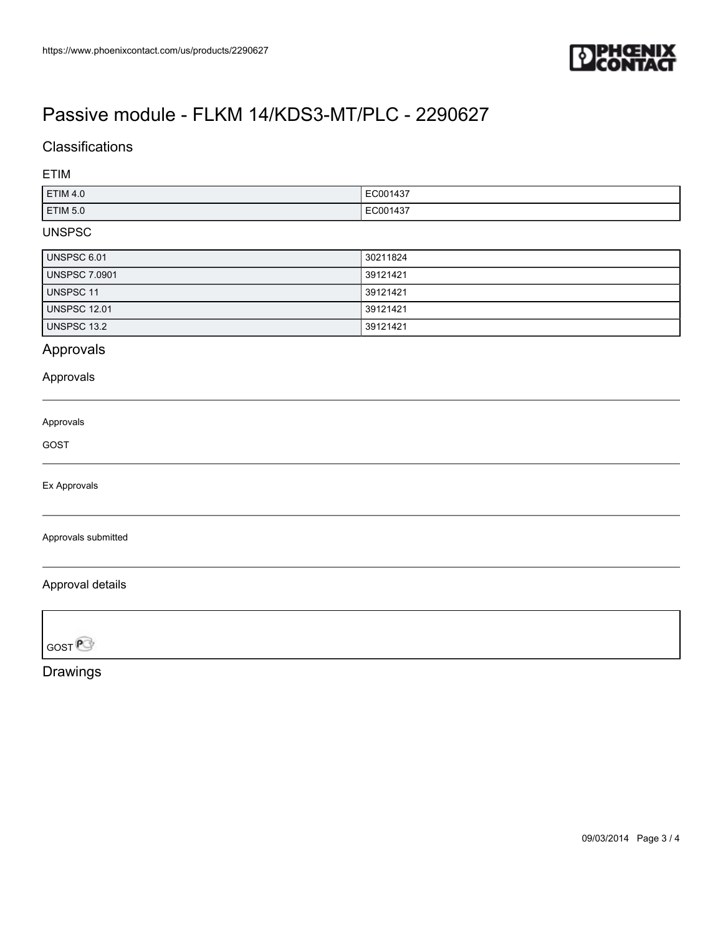

# **Classifications**

ETIM

| ETIM 4.0 | EC001437 |
|----------|----------|
| ETIM 5.0 | EC001437 |

### UNSPSC

| UNSPSC 6.01          | 30211824 |
|----------------------|----------|
| <b>UNSPSC 7.0901</b> | 39121421 |
| UNSPSC 11            | 39121421 |
| <b>UNSPSC 12.01</b>  | 39121421 |
| UNSPSC 13.2          | 39121421 |

## Approvals

## Approvals

Approvals

GOST

Ex Approvals

Approvals submitted

### Approval details

**GOST** 

Drawings